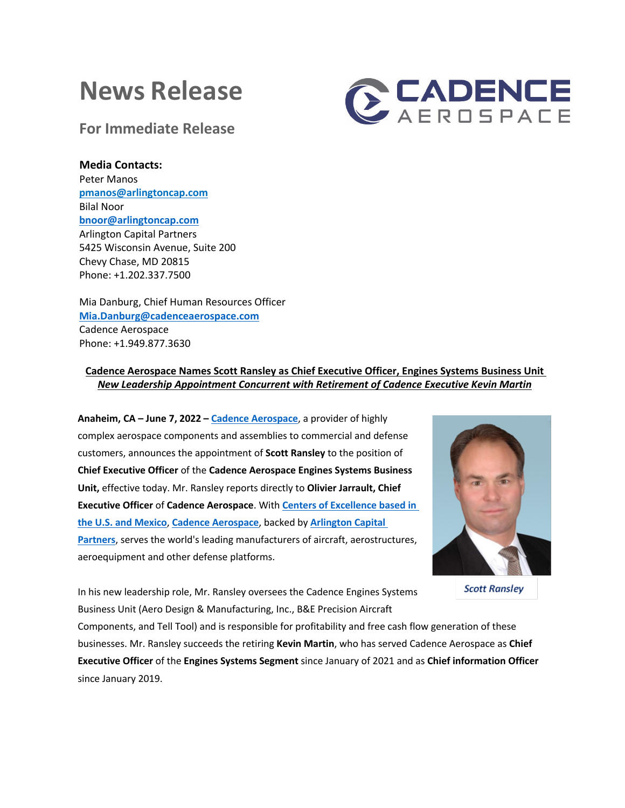# **News Release**



**For Immediate Release**

## **Media Contacts:**

Peter Manos **pmanos@arlingtoncap.com** Bilal Noor **bnoor@arlingtoncap.com** Arlington Capital Partners 5425 Wisconsin Avenue, Suite 200 Chevy Chase, MD 20815 Phone: +1.202.337.7500

Mia Danburg, Chief Human Resources Officer **Mia.Danburg@cadenceaerospace.com** Cadence Aerospace Phone: +1.949.877.3630

## **Cadence Aerospace Names Scott Ransley as Chief Executive Officer, Engines Systems Business Unit** *New Leadership Appointment Concurrent with Retirement of Cadence Executive Kevin Martin*

**Anaheim, CA – June 7, 2022 – Cadence Aerospace**, a provider of highly complex aerospace components and assemblies to commercial and defense customers, announces the appointment of **Scott Ransley** to the position of **Chief Executive Officer** of the **Cadence Aerospace Engines Systems Business Unit,** effective today. Mr. Ransley reports directly to **Olivier Jarrault, Chief Executive Officer** of **Cadence Aerospace**. With **Centers of Excellence based in the U.S. and Mexico**, **Cadence Aerospace**, backed by **Arlington Capital Partners**, serves the world's leading manufacturers of aircraft, aerostructures, aeroequipment and other defense platforms.



**Scott Ransley** 

In his new leadership role, Mr. Ransley oversees the Cadence Engines Systems Business Unit (Aero Design & Manufacturing, Inc., B&E Precision Aircraft

Components, and Tell Tool) and is responsible for profitability and free cash flow generation of these businesses. Mr. Ransley succeeds the retiring **Kevin Martin**, who has served Cadence Aerospace as **Chief Executive Officer** of the **Engines Systems Segment** since January of 2021 and as **Chief information Officer** since January 2019.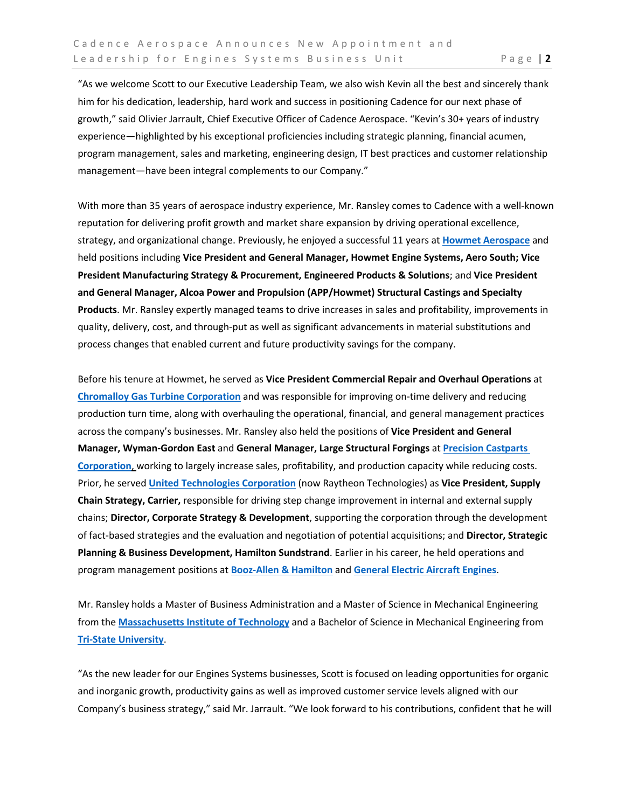"As we welcome Scott to our Executive Leadership Team, we also wish Kevin all the best and sincerely thank him for his dedication, leadership, hard work and success in positioning Cadence for our next phase of growth," said Olivier Jarrault, Chief Executive Officer of Cadence Aerospace. "Kevin's 30+ years of industry experience—highlighted by his exceptional proficiencies including strategic planning, financial acumen, program management, sales and marketing, engineering design, IT best practices and customer relationship management—have been integral complements to our Company."

With more than 35 years of aerospace industry experience, Mr. Ransley comes to Cadence with a well-known reputation for delivering profit growth and market share expansion by driving operational excellence, strategy, and organizational change. Previously, he enjoyed a successful 11 years at **Howmet Aerospace** and held positions including **Vice President and General Manager, Howmet Engine Systems, Aero South; Vice President Manufacturing Strategy & Procurement, Engineered Products & Solutions**; and **Vice President and General Manager, Alcoa Power and Propulsion (APP/Howmet) Structural Castings and Specialty Products**. Mr. Ransley expertly managed teams to drive increases in sales and profitability, improvements in quality, delivery, cost, and through-put as well as significant advancements in material substitutions and process changes that enabled current and future productivity savings for the company.

Before his tenure at Howmet, he served as **Vice President Commercial Repair and Overhaul Operations** at **Chromalloy Gas Turbine Corporation** and was responsible for improving on-time delivery and reducing production turn time, along with overhauling the operational, financial, and general management practices across the company's businesses. Mr. Ransley also held the positions of **Vice President and General Manager, Wyman-Gordon East** and **General Manager, Large Structural Forgings** at **Precision Castparts Corporation**, working to largely increase sales, profitability, and production capacity while reducing costs. Prior, he served **United Technologies Corporation** (now Raytheon Technologies) as **Vice President, Supply Chain Strategy, Carrier,** responsible for driving step change improvement in internal and external supply chains; **Director, Corporate Strategy & Development**, supporting the corporation through the development of fact-based strategies and the evaluation and negotiation of potential acquisitions; and **Director, Strategic Planning & Business Development, Hamilton Sundstrand**. Earlier in his career, he held operations and program management positions at **Booz-Allen & Hamilton** and **General Electric Aircraft Engines**.

Mr. Ransley holds a Master of Business Administration and a Master of Science in Mechanical Engineering from the **Massachusetts Institute of Technology** and a Bachelor of Science in Mechanical Engineering from **Tri-State University**.

"As the new leader for our Engines Systems businesses, Scott is focused on leading opportunities for organic and inorganic growth, productivity gains as well as improved customer service levels aligned with our Company's business strategy," said Mr. Jarrault. "We look forward to his contributions, confident that he will